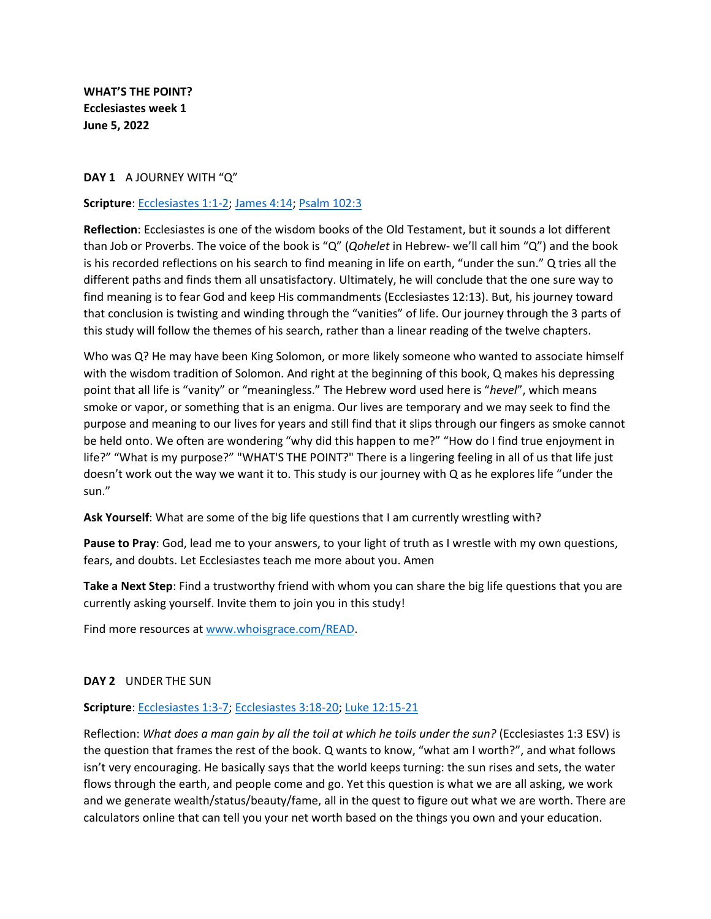**WHAT'S THE POINT? Ecclesiastes week 1 June 5, 2022**

#### **DAY 1** A JOURNEY WITH "Q"

#### **Scripture**: [Ecclesiastes 1:1-2;](https://www.biblegateway.com/passage/?search=Ecclesiastes+1%3A1-2&version=ESV) [James 4:14;](https://www.biblegateway.com/passage/?search=James+4%3A14&version=ESV) [Psalm 102:3](https://www.biblegateway.com/passage/?search=Psalm+102%3A3&version=ESV)

**Reflection**: Ecclesiastes is one of the wisdom books of the Old Testament, but it sounds a lot different than Job or Proverbs. The voice of the book is "Q" (*Qohelet* in Hebrew- we'll call him "Q") and the book is his recorded reflections on his search to find meaning in life on earth, "under the sun." Q tries all the different paths and finds them all unsatisfactory. Ultimately, he will conclude that the one sure way to find meaning is to fear God and keep His commandments (Ecclesiastes 12:13). But, his journey toward that conclusion is twisting and winding through the "vanities" of life. Our journey through the 3 parts of this study will follow the themes of his search, rather than a linear reading of the twelve chapters.

Who was Q? He may have been King Solomon, or more likely someone who wanted to associate himself with the wisdom tradition of Solomon. And right at the beginning of this book, Q makes his depressing point that all life is "vanity" or "meaningless." The Hebrew word used here is "*hevel*", which means smoke or vapor, or something that is an enigma. Our lives are temporary and we may seek to find the purpose and meaning to our lives for years and still find that it slips through our fingers as smoke cannot be held onto. We often are wondering "why did this happen to me?" "How do I find true enjoyment in life?" "What is my purpose?" "WHAT'S THE POINT?" There is a lingering feeling in all of us that life just doesn't work out the way we want it to. This study is our journey with Q as he explores life "under the sun."

**Ask Yourself**: What are some of the big life questions that I am currently wrestling with?

**Pause to Pray**: God, lead me to your answers, to your light of truth as I wrestle with my own questions, fears, and doubts. Let Ecclesiastes teach me more about you. Amen

**Take a Next Step**: Find a trustworthy friend with whom you can share the big life questions that you are currently asking yourself. Invite them to join you in this study!

Find more resources a[t www.whoisgrace.com/READ.](http://www.whoisgrace.com/READ)

#### **DAY 2** UNDER THE SUN

#### **Scripture**: [Ecclesiastes 1:3-7;](https://www.biblegateway.com/passage/?search=Ecclesiastes+1%3A3-7&version=ESV) [Ecclesiastes 3:18-20;](https://www.biblegateway.com/passage/?search=Ecclesiastes+3%3A18-20&version=ESV) [Luke 12:15-21](https://www.biblegateway.com/passage/?search=Luke+12%3A15-21&version=ESV)

Reflection: *What does a man gain by all the toil at which he toils under the sun?* (Ecclesiastes 1:3 ESV) is the question that frames the rest of the book. Q wants to know, "what am I worth?", and what follows isn't very encouraging. He basically says that the world keeps turning: the sun rises and sets, the water flows through the earth, and people come and go. Yet this question is what we are all asking, we work and we generate wealth/status/beauty/fame, all in the quest to figure out what we are worth. There are calculators online that can tell you your net worth based on the things you own and your education.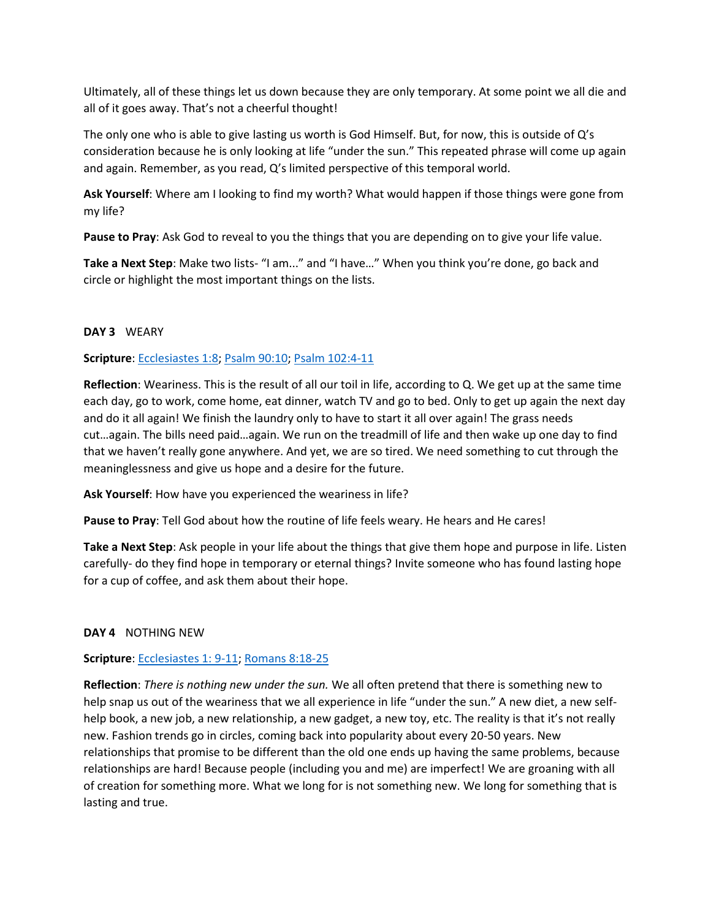Ultimately, all of these things let us down because they are only temporary. At some point we all die and all of it goes away. That's not a cheerful thought!

The only one who is able to give lasting us worth is God Himself. But, for now, this is outside of Q's consideration because he is only looking at life "under the sun." This repeated phrase will come up again and again. Remember, as you read, Q's limited perspective of this temporal world.

**Ask Yourself**: Where am I looking to find my worth? What would happen if those things were gone from my life?

**Pause to Pray**: Ask God to reveal to you the things that you are depending on to give your life value.

**Take a Next Step**: Make two lists- "I am..." and "I have…" When you think you're done, go back and circle or highlight the most important things on the lists.

## **DAY 3** WEARY

## **Scripture**: [Ecclesiastes 1:8;](https://www.biblegateway.com/passage/?search=Ecclesiastes+1%3A8&version=ESV) [Psalm 90:10;](https://www.biblegateway.com/passage/?search=Psalm+90%3A10&version=ESV) [Psalm 102:4-11](https://www.biblegateway.com/passage/?search=Psalm+102%3A4-11&version=ESV)

**Reflection**: Weariness. This is the result of all our toil in life, according to Q. We get up at the same time each day, go to work, come home, eat dinner, watch TV and go to bed. Only to get up again the next day and do it all again! We finish the laundry only to have to start it all over again! The grass needs cut…again. The bills need paid…again. We run on the treadmill of life and then wake up one day to find that we haven't really gone anywhere. And yet, we are so tired. We need something to cut through the meaninglessness and give us hope and a desire for the future.

**Ask Yourself**: How have you experienced the weariness in life?

**Pause to Pray**: Tell God about how the routine of life feels weary. He hears and He cares!

**Take a Next Step**: Ask people in your life about the things that give them hope and purpose in life. Listen carefully- do they find hope in temporary or eternal things? Invite someone who has found lasting hope for a cup of coffee, and ask them about their hope.

### **DAY 4** NOTHING NEW

# **Scripture**: [Ecclesiastes 1: 9-11;](https://www.biblegateway.com/passage/?search=Ecclesiastes+1%3A+9-11&version=ESV) [Romans 8:18-25](https://www.biblegateway.com/passage/?search=Romans+8%3A18-25&version=ESV)

**Reflection**: *There is nothing new under the sun.* We all often pretend that there is something new to help snap us out of the weariness that we all experience in life "under the sun." A new diet, a new selfhelp book, a new job, a new relationship, a new gadget, a new toy, etc. The reality is that it's not really new. Fashion trends go in circles, coming back into popularity about every 20-50 years. New relationships that promise to be different than the old one ends up having the same problems, because relationships are hard! Because people (including you and me) are imperfect! We are groaning with all of creation for something more. What we long for is not something new. We long for something that is lasting and true.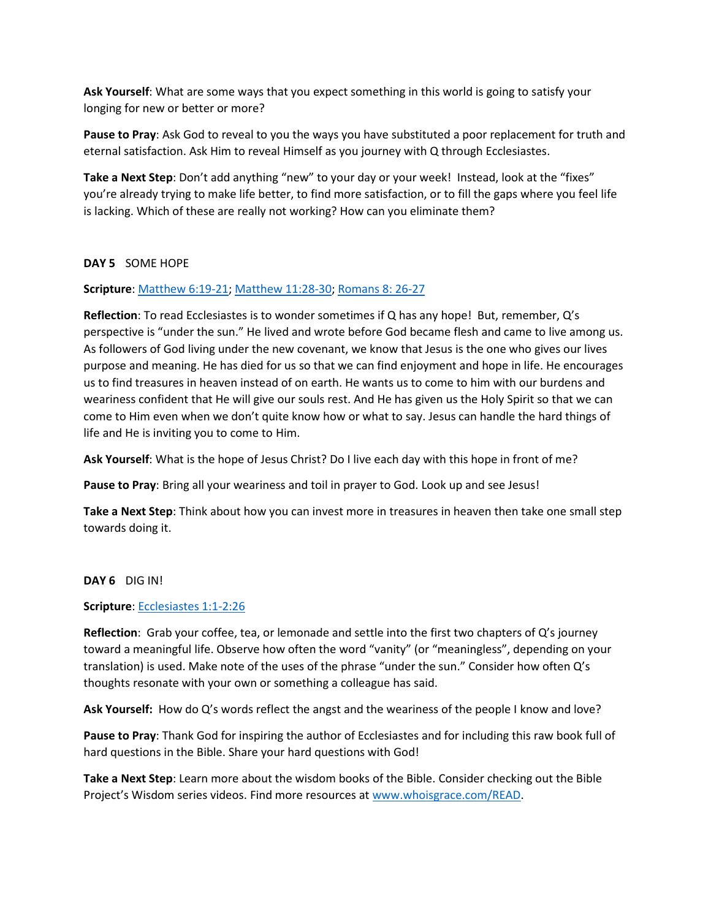**Ask Yourself**: What are some ways that you expect something in this world is going to satisfy your longing for new or better or more?

**Pause to Pray**: Ask God to reveal to you the ways you have substituted a poor replacement for truth and eternal satisfaction. Ask Him to reveal Himself as you journey with Q through Ecclesiastes.

**Take a Next Step**: Don't add anything "new" to your day or your week! Instead, look at the "fixes" you're already trying to make life better, to find more satisfaction, or to fill the gaps where you feel life is lacking. Which of these are really not working? How can you eliminate them?

### **DAY 5** SOME HOPE

## **Scripture**: [Matthew 6:19-21;](https://www.biblegateway.com/passage/?search=Matthew+6%3A19-21&version=ESV) [Matthew 11:28-30;](https://www.biblegateway.com/passage/?search=Matthew+11%3A28-30&version=ESV) [Romans 8: 26-27](https://www.biblegateway.com/passage/?search=Romans+8%3A+26-27&version=ESV)

**Reflection**: To read Ecclesiastes is to wonder sometimes if Q has any hope! But, remember, Q's perspective is "under the sun." He lived and wrote before God became flesh and came to live among us. As followers of God living under the new covenant, we know that Jesus is the one who gives our lives purpose and meaning. He has died for us so that we can find enjoyment and hope in life. He encourages us to find treasures in heaven instead of on earth. He wants us to come to him with our burdens and weariness confident that He will give our souls rest. And He has given us the Holy Spirit so that we can come to Him even when we don't quite know how or what to say. Jesus can handle the hard things of life and He is inviting you to come to Him.

**Ask Yourself**: What is the hope of Jesus Christ? Do I live each day with this hope in front of me?

**Pause to Pray**: Bring all your weariness and toil in prayer to God. Look up and see Jesus!

**Take a Next Step**: Think about how you can invest more in treasures in heaven then take one small step towards doing it.

### **DAY 6** DIG IN!

### **Scripture**: [Ecclesiastes 1:1-2:26](https://biblehub.com/esv/ecclesiastes/1.htm)

**Reflection**: Grab your coffee, tea, or lemonade and settle into the first two chapters of Q's journey toward a meaningful life. Observe how often the word "vanity" (or "meaningless", depending on your translation) is used. Make note of the uses of the phrase "under the sun." Consider how often Q's thoughts resonate with your own or something a colleague has said.

**Ask Yourself:** How do Q's words reflect the angst and the weariness of the people I know and love?

**Pause to Pray**: Thank God for inspiring the author of Ecclesiastes and for including this raw book full of hard questions in the Bible. Share your hard questions with God!

**Take a Next Step**: Learn more about the wisdom books of the Bible. Consider checking out the Bible Project's Wisdom series videos. Find more resources a[t www.whoisgrace.com/READ.](http://www.whoisgrace.com/READ)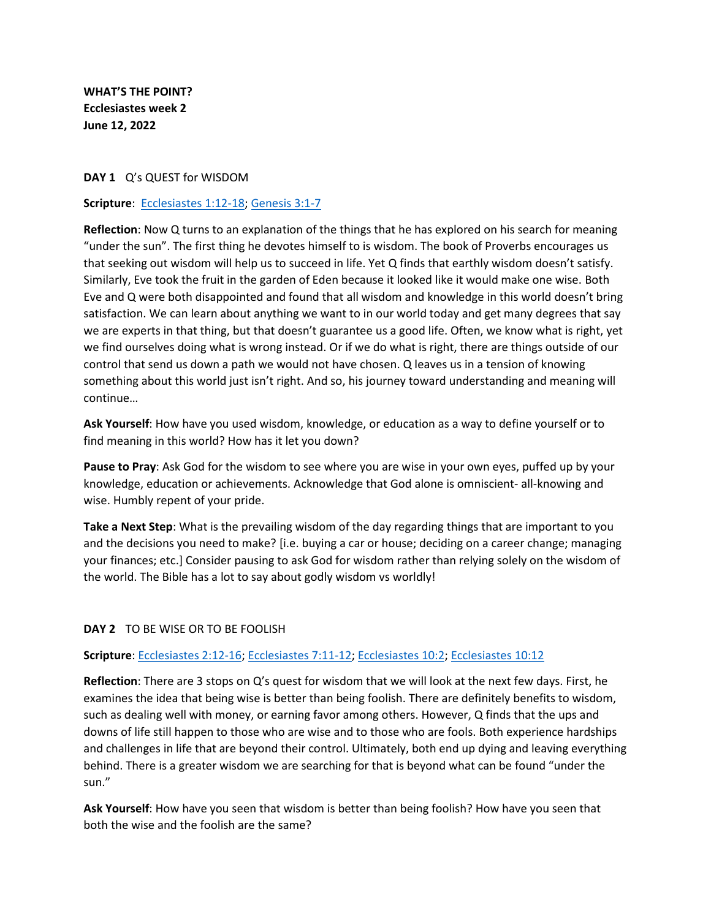**WHAT'S THE POINT? Ecclesiastes week 2 June 12, 2022**

#### **DAY 1** Q's QUEST for WISDOM

#### **Scripture**: [Ecclesiastes 1:12-18;](https://www.biblegateway.com/passage/?search=Ecclesiastes+1%3A12-18&version=ESV) [Genesis 3:1-7](https://www.biblegateway.com/passage/?search=Genesis+3%3A1-7&version=ESV)

**Reflection**: Now Q turns to an explanation of the things that he has explored on his search for meaning "under the sun". The first thing he devotes himself to is wisdom. The book of Proverbs encourages us that seeking out wisdom will help us to succeed in life. Yet Q finds that earthly wisdom doesn't satisfy. Similarly, Eve took the fruit in the garden of Eden because it looked like it would make one wise. Both Eve and Q were both disappointed and found that all wisdom and knowledge in this world doesn't bring satisfaction. We can learn about anything we want to in our world today and get many degrees that say we are experts in that thing, but that doesn't guarantee us a good life. Often, we know what is right, yet we find ourselves doing what is wrong instead. Or if we do what is right, there are things outside of our control that send us down a path we would not have chosen. Q leaves us in a tension of knowing something about this world just isn't right. And so, his journey toward understanding and meaning will continue…

**Ask Yourself**: How have you used wisdom, knowledge, or education as a way to define yourself or to find meaning in this world? How has it let you down?

**Pause to Pray**: Ask God for the wisdom to see where you are wise in your own eyes, puffed up by your knowledge, education or achievements. Acknowledge that God alone is omniscient- all-knowing and wise. Humbly repent of your pride.

**Take a Next Step**: What is the prevailing wisdom of the day regarding things that are important to you and the decisions you need to make? [i.e. buying a car or house; deciding on a career change; managing your finances; etc.] Consider pausing to ask God for wisdom rather than relying solely on the wisdom of the world. The Bible has a lot to say about godly wisdom vs worldly!

### **DAY 2** TO BE WISE OR TO BE FOOLISH

#### **Scripture**: [Ecclesiastes 2:12-16;](https://www.biblegateway.com/passage/?search=Ecclesiastes+2%3A12-16&version=ESV) [Ecclesiastes 7:11-12;](https://www.biblegateway.com/passage/?search=Ecclesiastes+7%3A11-12&version=ESV) [Ecclesiastes 10:2;](https://www.biblegateway.com/passage/?search=Ecclesiastes+10%3A2&version=ESV) [Ecclesiastes 10:12](https://www.biblegateway.com/passage/?search=Ecclesiastes+10%3A12&version=ESV)

**Reflection**: There are 3 stops on Q's quest for wisdom that we will look at the next few days. First, he examines the idea that being wise is better than being foolish. There are definitely benefits to wisdom, such as dealing well with money, or earning favor among others. However, Q finds that the ups and downs of life still happen to those who are wise and to those who are fools. Both experience hardships and challenges in life that are beyond their control. Ultimately, both end up dying and leaving everything behind. There is a greater wisdom we are searching for that is beyond what can be found "under the sun."

**Ask Yourself**: How have you seen that wisdom is better than being foolish? How have you seen that both the wise and the foolish are the same?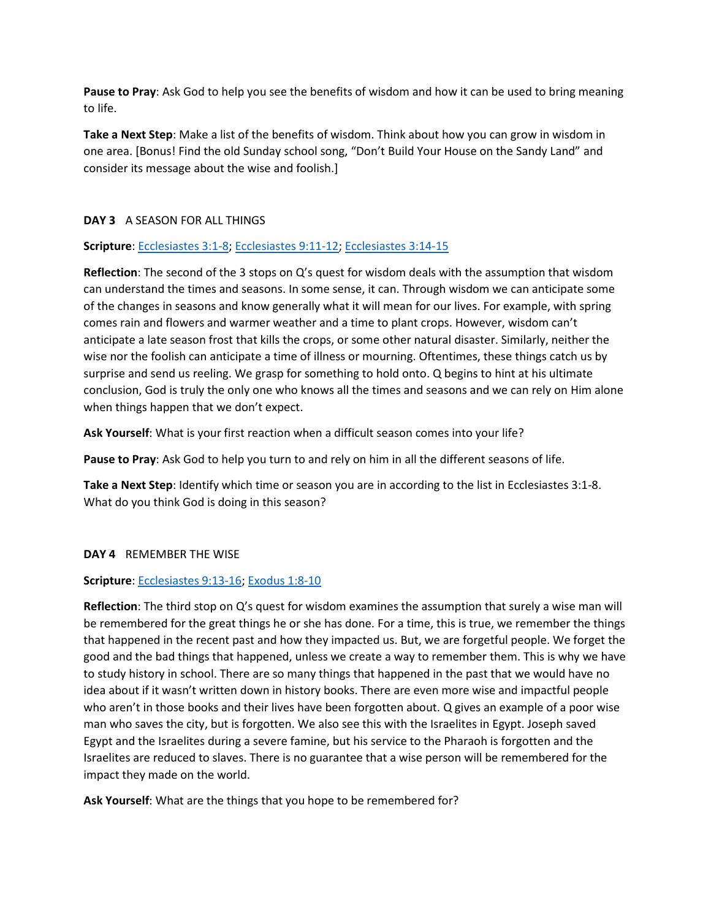**Pause to Pray**: Ask God to help you see the benefits of wisdom and how it can be used to bring meaning to life.

**Take a Next Step**: Make a list of the benefits of wisdom. Think about how you can grow in wisdom in one area. [Bonus! Find the old Sunday school song, "Don't Build Your House on the Sandy Land" and consider its message about the wise and foolish.]

## **DAY 3** A SEASON FOR ALL THINGS

### **Scripture**: [Ecclesiastes 3:1-8;](https://www.biblegateway.com/passage/?search=Ecclesiastes+3%3A1-8&version=ESV) [Ecclesiastes 9:11-12;](https://www.biblegateway.com/passage/?search=Ecclesiastes+9%3A11-12&version=ESV) [Ecclesiastes 3:14-15](https://www.biblegateway.com/passage/?search=Ecclesiastes+3%3A14-15&version=ESV)

**Reflection**: The second of the 3 stops on Q's quest for wisdom deals with the assumption that wisdom can understand the times and seasons. In some sense, it can. Through wisdom we can anticipate some of the changes in seasons and know generally what it will mean for our lives. For example, with spring comes rain and flowers and warmer weather and a time to plant crops. However, wisdom can't anticipate a late season frost that kills the crops, or some other natural disaster. Similarly, neither the wise nor the foolish can anticipate a time of illness or mourning. Oftentimes, these things catch us by surprise and send us reeling. We grasp for something to hold onto. Q begins to hint at his ultimate conclusion, God is truly the only one who knows all the times and seasons and we can rely on Him alone when things happen that we don't expect.

**Ask Yourself**: What is your first reaction when a difficult season comes into your life?

**Pause to Pray**: Ask God to help you turn to and rely on him in all the different seasons of life.

**Take a Next Step**: Identify which time or season you are in according to the list in Ecclesiastes 3:1-8. What do you think God is doing in this season?

### **DAY 4** REMEMBER THE WISE

### **Scripture**: [Ecclesiastes 9:13-16;](https://www.biblegateway.com/passage/?search=Ecclesiastes+9%3A13-16&version=ESV) [Exodus 1:8-10](https://www.biblegateway.com/passage/?search=Exodus+1%3A8-10&version=ESV)

**Reflection**: The third stop on Q's quest for wisdom examines the assumption that surely a wise man will be remembered for the great things he or she has done. For a time, this is true, we remember the things that happened in the recent past and how they impacted us. But, we are forgetful people. We forget the good and the bad things that happened, unless we create a way to remember them. This is why we have to study history in school. There are so many things that happened in the past that we would have no idea about if it wasn't written down in history books. There are even more wise and impactful people who aren't in those books and their lives have been forgotten about. Q gives an example of a poor wise man who saves the city, but is forgotten. We also see this with the Israelites in Egypt. Joseph saved Egypt and the Israelites during a severe famine, but his service to the Pharaoh is forgotten and the Israelites are reduced to slaves. There is no guarantee that a wise person will be remembered for the impact they made on the world.

**Ask Yourself**: What are the things that you hope to be remembered for?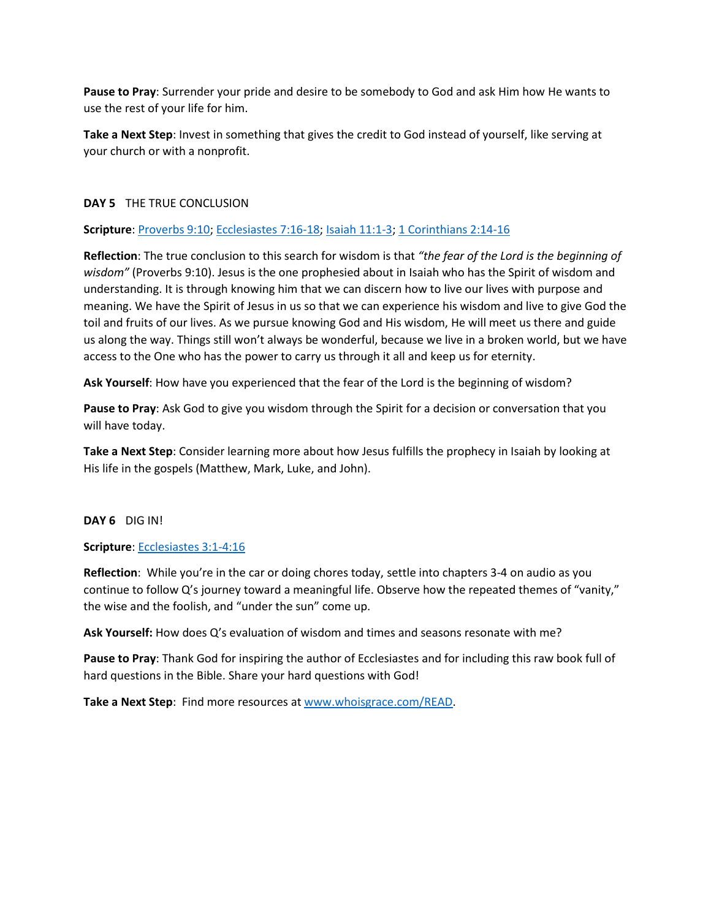**Pause to Pray**: Surrender your pride and desire to be somebody to God and ask Him how He wants to use the rest of your life for him.

**Take a Next Step**: Invest in something that gives the credit to God instead of yourself, like serving at your church or with a nonprofit.

## **DAY 5** THE TRUE CONCLUSION

### **Scripture**: [Proverbs 9:10;](https://www.biblegateway.com/passage/?search=Proverbs+9%3A10&version=ESV) [Ecclesiastes 7:16-18;](https://www.biblegateway.com/passage/?search=Ecclesiastes+7%3A16-18&version=ESV) [Isaiah 11:1-3;](https://www.biblegateway.com/passage/?search=Isaiah+11%3A1-3&version=ESV) [1 Corinthians 2:14-16](https://www.biblegateway.com/passage/?search=1+Corinthians+2%3A14-16&version=ESV)

**Reflection**: The true conclusion to this search for wisdom is that *"the fear of the Lord is the beginning of wisdom"* (Proverbs 9:10). Jesus is the one prophesied about in Isaiah who has the Spirit of wisdom and understanding. It is through knowing him that we can discern how to live our lives with purpose and meaning. We have the Spirit of Jesus in us so that we can experience his wisdom and live to give God the toil and fruits of our lives. As we pursue knowing God and His wisdom, He will meet us there and guide us along the way. Things still won't always be wonderful, because we live in a broken world, but we have access to the One who has the power to carry us through it all and keep us for eternity.

**Ask Yourself**: How have you experienced that the fear of the Lord is the beginning of wisdom?

**Pause to Pray**: Ask God to give you wisdom through the Spirit for a decision or conversation that you will have today.

**Take a Next Step**: Consider learning more about how Jesus fulfills the prophecy in Isaiah by looking at His life in the gospels (Matthew, Mark, Luke, and John).

### **DAY 6** DIG IN!

### **Scripture**: [Ecclesiastes 3:1-4:16](https://biblehub.com/esv/ecclesiastes/3.htm)

**Reflection**: While you're in the car or doing chores today, settle into chapters 3-4 on audio as you continue to follow Q's journey toward a meaningful life. Observe how the repeated themes of "vanity," the wise and the foolish, and "under the sun" come up.

**Ask Yourself:** How does Q's evaluation of wisdom and times and seasons resonate with me?

**Pause to Pray**: Thank God for inspiring the author of Ecclesiastes and for including this raw book full of hard questions in the Bible. Share your hard questions with God!

**Take a Next Step**: Find more resources at [www.whoisgrace.com/READ.](http://www.whoisgrace.com/READ)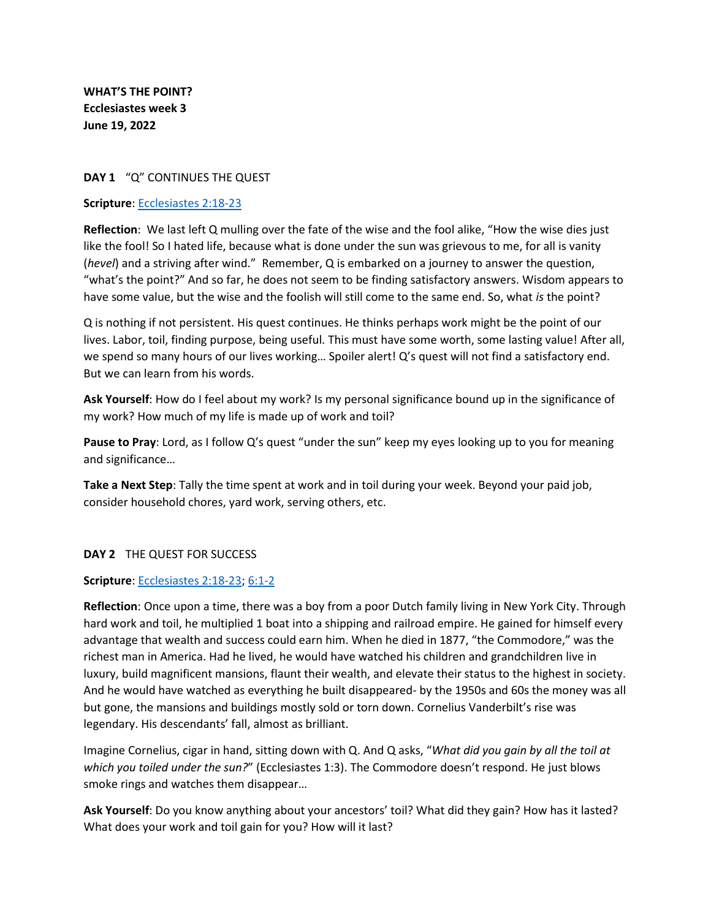**WHAT'S THE POINT? Ecclesiastes week 3 June 19, 2022**

### **DAY 1** "Q" CONTINUES THE QUEST

#### **Scripture**: [Ecclesiastes 2:18-23](https://biblehub.com/esv/ecclesiastes/2.htm)

**Reflection**: We last left Q mulling over the fate of the wise and the fool alike, "How the wise dies just like the fool! So I hated life, because what is done under the sun was grievous to me, for all is vanity (*hevel*) and a striving after wind." Remember, Q is embarked on a journey to answer the question, "what's the point?" And so far, he does not seem to be finding satisfactory answers. Wisdom appears to have some value, but the wise and the foolish will still come to the same end. So, what *is* the point?

Q is nothing if not persistent. His quest continues. He thinks perhaps work might be the point of our lives. Labor, toil, finding purpose, being useful. This must have some worth, some lasting value! After all, we spend so many hours of our lives working… Spoiler alert! Q's quest will not find a satisfactory end. But we can learn from his words.

**Ask Yourself**: How do I feel about my work? Is my personal significance bound up in the significance of my work? How much of my life is made up of work and toil?

**Pause to Pray**: Lord, as I follow Q's quest "under the sun" keep my eyes looking up to you for meaning and significance…

**Take a Next Step**: Tally the time spent at work and in toil during your week. Beyond your paid job, consider household chores, yard work, serving others, etc.

### **DAY 2** THE QUEST FOR SUCCESS

### **Scripture**: [Ecclesiastes 2:18-23;](https://biblehub.com/esv/ecclesiastes/2.htm) [6:1-2](https://biblehub.com/esv/ecclesiastes/6.htm)

**Reflection**: Once upon a time, there was a boy from a poor Dutch family living in New York City. Through hard work and toil, he multiplied 1 boat into a shipping and railroad empire. He gained for himself every advantage that wealth and success could earn him. When he died in 1877, "the Commodore," was the richest man in America. Had he lived, he would have watched his children and grandchildren live in luxury, build magnificent mansions, flaunt their wealth, and elevate their status to the highest in society. And he would have watched as everything he built disappeared- by the 1950s and 60s the money was all but gone, the mansions and buildings mostly sold or torn down. Cornelius Vanderbilt's rise was legendary. His descendants' fall, almost as brilliant.

Imagine Cornelius, cigar in hand, sitting down with Q. And Q asks, "*What did you gain by all the toil at which you toiled under the sun?*" (Ecclesiastes 1:3). The Commodore doesn't respond. He just blows smoke rings and watches them disappear…

**Ask Yourself**: Do you know anything about your ancestors' toil? What did they gain? How has it lasted? What does your work and toil gain for you? How will it last?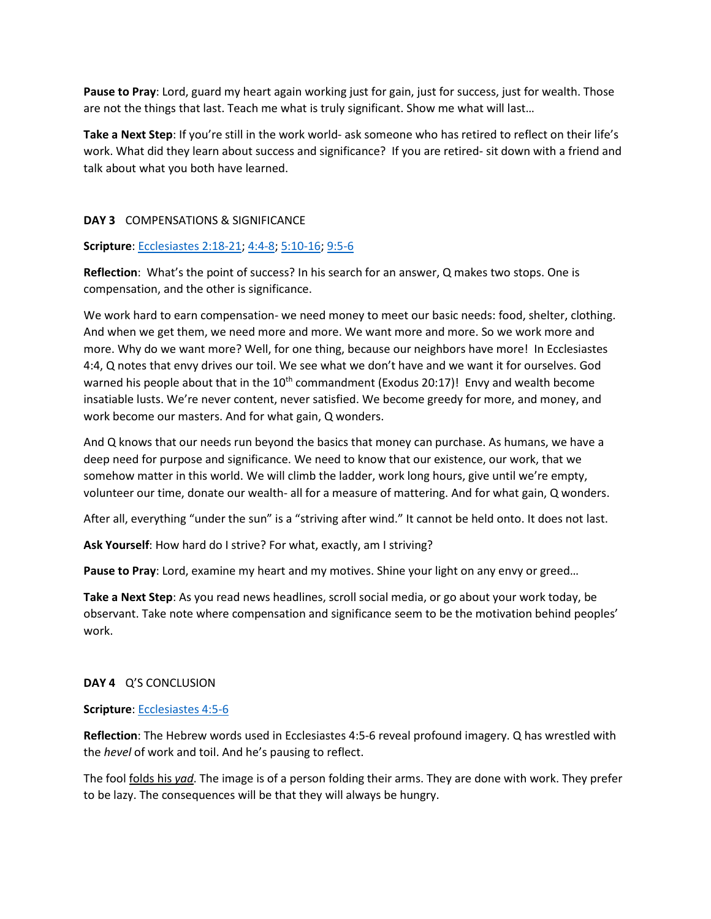**Pause to Pray**: Lord, guard my heart again working just for gain, just for success, just for wealth. Those are not the things that last. Teach me what is truly significant. Show me what will last…

**Take a Next Step**: If you're still in the work world- ask someone who has retired to reflect on their life's work. What did they learn about success and significance? If you are retired- sit down with a friend and talk about what you both have learned.

#### **DAY 3** COMPENSATIONS & SIGNIFICANCE

#### **Scripture**: [Ecclesiastes 2:18-21;](https://biblehub.com/esv/ecclesiastes/2.htm) [4:4-8;](https://biblehub.com/esv/ecclesiastes/4.htm) [5:10-16;](https://biblehub.com/esv/ecclesiastes/5.htm) [9:5-6](https://biblehub.com/esv/ecclesiastes/9.htm)

**Reflection**: What's the point of success? In his search for an answer, Q makes two stops. One is compensation, and the other is significance.

We work hard to earn compensation- we need money to meet our basic needs: food, shelter, clothing. And when we get them, we need more and more. We want more and more. So we work more and more. Why do we want more? Well, for one thing, because our neighbors have more! In Ecclesiastes 4:4, Q notes that envy drives our toil. We see what we don't have and we want it for ourselves. God warned his people about that in the  $10<sup>th</sup>$  commandment (Exodus 20:17)! Envy and wealth become insatiable lusts. We're never content, never satisfied. We become greedy for more, and money, and work become our masters. And for what gain, Q wonders.

And Q knows that our needs run beyond the basics that money can purchase. As humans, we have a deep need for purpose and significance. We need to know that our existence, our work, that we somehow matter in this world. We will climb the ladder, work long hours, give until we're empty, volunteer our time, donate our wealth- all for a measure of mattering. And for what gain, Q wonders.

After all, everything "under the sun" is a "striving after wind." It cannot be held onto. It does not last.

**Ask Yourself**: How hard do I strive? For what, exactly, am I striving?

**Pause to Pray**: Lord, examine my heart and my motives. Shine your light on any envy or greed…

**Take a Next Step**: As you read news headlines, scroll social media, or go about your work today, be observant. Take note where compensation and significance seem to be the motivation behind peoples' work.

#### **DAY 4** Q'S CONCLUSION

#### **Scripture**: [Ecclesiastes 4:5-6](https://biblehub.com/esv/ecclesiastes/4.htm)

**Reflection**: The Hebrew words used in Ecclesiastes 4:5-6 reveal profound imagery. Q has wrestled with the *hevel* of work and toil. And he's pausing to reflect.

The fool folds his *yad*. The image is of a person folding their arms. They are done with work. They prefer to be lazy. The consequences will be that they will always be hungry.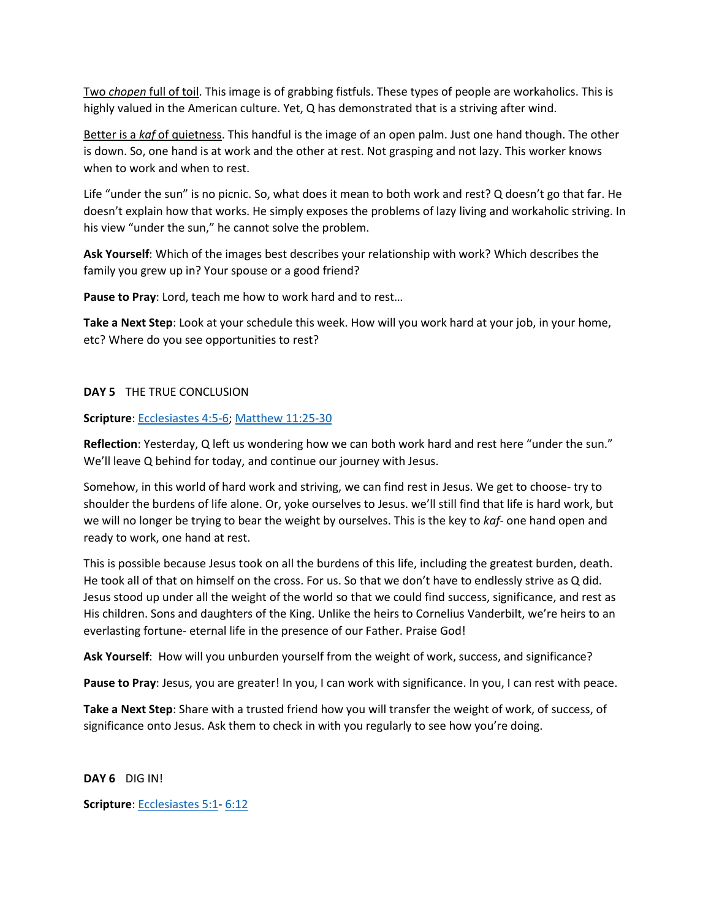Two *chopen* full of toil. This image is of grabbing fistfuls. These types of people are workaholics. This is highly valued in the American culture. Yet, Q has demonstrated that is a striving after wind.

Better is a *kaf* of quietness. This handful is the image of an open palm. Just one hand though. The other is down. So, one hand is at work and the other at rest. Not grasping and not lazy. This worker knows when to work and when to rest.

Life "under the sun" is no picnic. So, what does it mean to both work and rest? Q doesn't go that far. He doesn't explain how that works. He simply exposes the problems of lazy living and workaholic striving. In his view "under the sun," he cannot solve the problem.

**Ask Yourself**: Which of the images best describes your relationship with work? Which describes the family you grew up in? Your spouse or a good friend?

**Pause to Pray**: Lord, teach me how to work hard and to rest…

**Take a Next Step**: Look at your schedule this week. How will you work hard at your job, in your home, etc? Where do you see opportunities to rest?

#### **DAY 5** THE TRUE CONCLUSION

#### **Scripture**: [Ecclesiastes 4:5-6;](https://biblehub.com/esv/ecclesiastes/4.htm) [Matthew 11:25-30](https://biblehub.com/esv/matthew/11.htm)

**Reflection**: Yesterday, Q left us wondering how we can both work hard and rest here "under the sun." We'll leave Q behind for today, and continue our journey with Jesus.

Somehow, in this world of hard work and striving, we can find rest in Jesus. We get to choose- try to shoulder the burdens of life alone. Or, yoke ourselves to Jesus. we'll still find that life is hard work, but we will no longer be trying to bear the weight by ourselves. This is the key to *kaf*- one hand open and ready to work, one hand at rest.

This is possible because Jesus took on all the burdens of this life, including the greatest burden, death. He took all of that on himself on the cross. For us. So that we don't have to endlessly strive as Q did. Jesus stood up under all the weight of the world so that we could find success, significance, and rest as His children. Sons and daughters of the King. Unlike the heirs to Cornelius Vanderbilt, we're heirs to an everlasting fortune- eternal life in the presence of our Father. Praise God!

**Ask Yourself**: How will you unburden yourself from the weight of work, success, and significance?

Pause to Pray: Jesus, you are greater! In you, I can work with significance. In you, I can rest with peace.

**Take a Next Step**: Share with a trusted friend how you will transfer the weight of work, of success, of significance onto Jesus. Ask them to check in with you regularly to see how you're doing.

**DAY 6** DIG IN!

**Scripture**: [Ecclesiastes 5:1-](https://biblehub.com/esv/ecclesiastes/5.htm) [6:12](https://biblehub.com/esv/ecclesiastes/6.htm)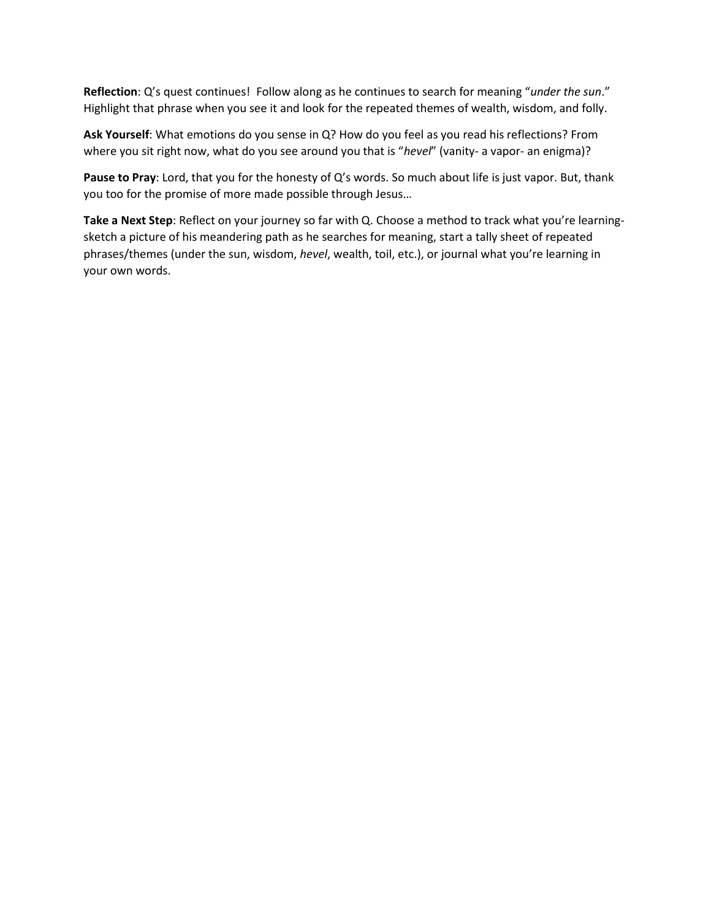**Reflection**: Q's quest continues! Follow along as he continues to search for meaning "*under the sun*." Highlight that phrase when you see it and look for the repeated themes of wealth, wisdom, and folly.

**Ask Yourself**: What emotions do you sense in Q? How do you feel as you read his reflections? From where you sit right now, what do you see around you that is "*hevel*" (vanity- a vapor- an enigma)?

**Pause to Pray**: Lord, that you for the honesty of Q's words. So much about life is just vapor. But, thank you too for the promise of more made possible through Jesus…

**Take a Next Step**: Reflect on your journey so far with Q. Choose a method to track what you're learningsketch a picture of his meandering path as he searches for meaning, start a tally sheet of repeated phrases/themes (under the sun, wisdom, *hevel*, wealth, toil, etc.), or journal what you're learning in your own words.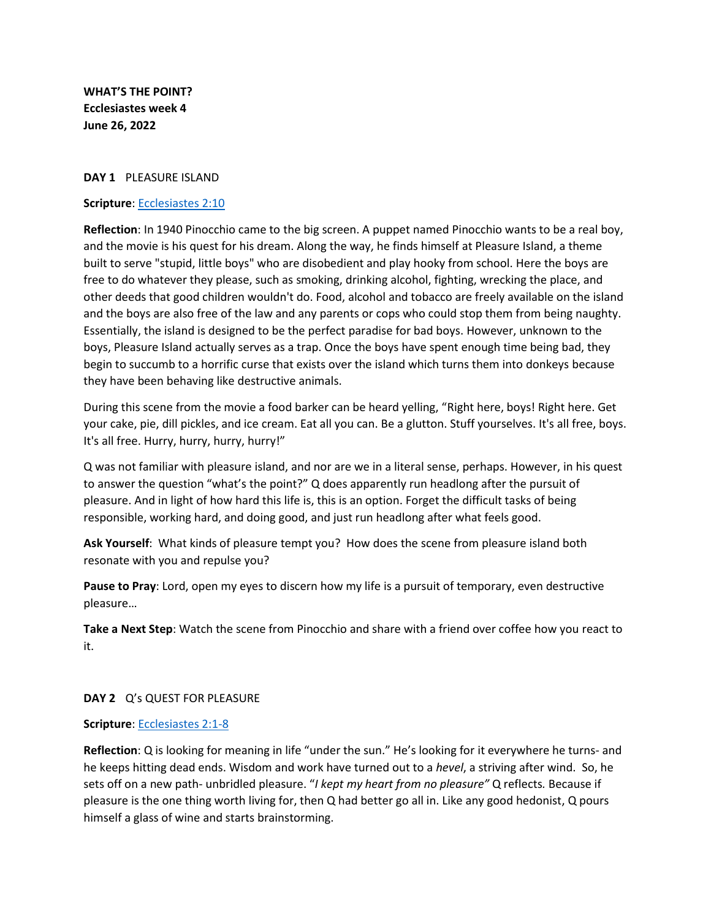**WHAT'S THE POINT? Ecclesiastes week 4 June 26, 2022**

#### **DAY 1** PLEASURE ISLAND

#### **Scripture**: [Ecclesiastes](https://biblehub.com/ecclesiastes/2-10.htm) 2:10

**Reflection**: In 1940 Pinocchio came to the big screen. A puppet named Pinocchio wants to be a real boy, and the movie is his quest for his dream. Along the way, he finds himself at Pleasure Island, a theme built to serve "stupid, little boys" who are disobedient and play hooky from school. Here the boys are free to do whatever they please, such as smoking, drinking alcohol, fighting, wrecking the place, and other deeds that good children wouldn't do. Food, alcohol and tobacco are freely available on the island and the boys are also free of the law and any parents or cops who could stop them from being naughty. Essentially, the island is designed to be the perfect paradise for bad boys. However, unknown to the boys, Pleasure Island actually serves as a trap. Once the boys have spent enough time being bad, they begin to succumb to a horrific curse that exists over the island which turns them into donkeys because they have been behaving like destructive animals.

During this scene from the movie a food barker can be heard yelling, "Right here, boys! Right here. Get your cake, pie, dill pickles, and ice cream. Eat all you can. Be a glutton. Stuff yourselves. It's all free, boys. It's all free. Hurry, hurry, hurry, hurry!"

Q was not familiar with pleasure island, and nor are we in a literal sense, perhaps. However, in his quest to answer the question "what's the point?" Q does apparently run headlong after the pursuit of pleasure. And in light of how hard this life is, this is an option. Forget the difficult tasks of being responsible, working hard, and doing good, and just run headlong after what feels good.

**Ask Yourself**: What kinds of pleasure tempt you? How does the scene from pleasure island both resonate with you and repulse you?

**Pause to Pray**: Lord, open my eyes to discern how my life is a pursuit of temporary, even destructive pleasure…

**Take a Next Step**: Watch the scene from Pinocchio and share with a friend over coffee how you react to it.

### **DAY 2** Q's QUEST FOR PLEASURE

#### **Scripture**: [Ecclesiastes 2:1-8](https://biblehub.com/esv/ecclesiastes/2.htm)

**Reflection**: Q is looking for meaning in life "under the sun." He's looking for it everywhere he turns- and he keeps hitting dead ends. Wisdom and work have turned out to a *hevel*, a striving after wind. So, he sets off on a new path- unbridled pleasure. "*I kept my heart from no pleasure"* Q reflects*.* Because if pleasure is the one thing worth living for, then Q had better go all in. Like any good hedonist, Q pours himself a glass of wine and starts brainstorming.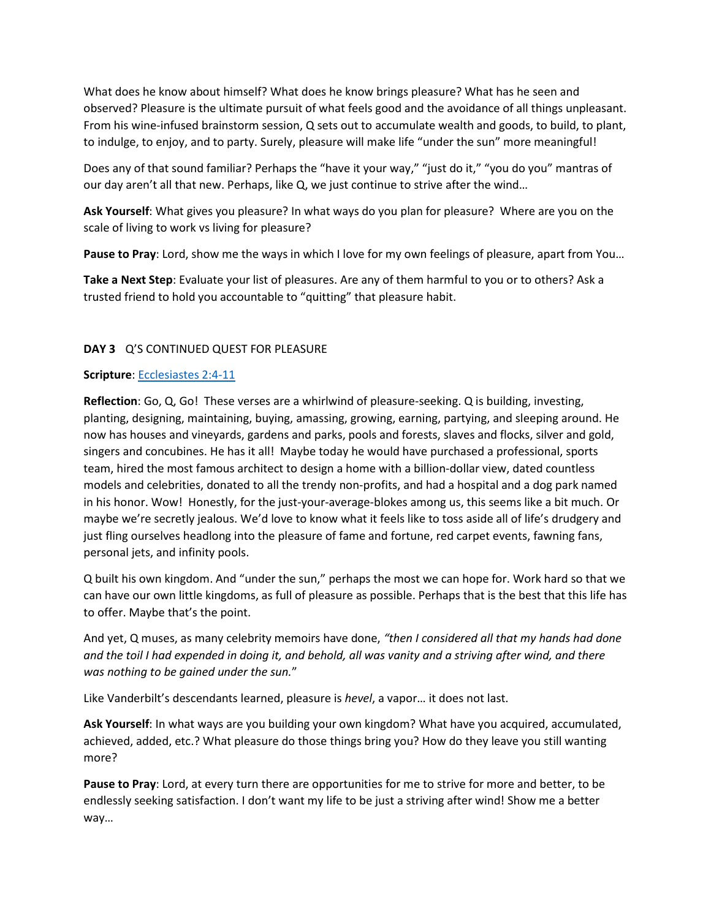What does he know about himself? What does he know brings pleasure? What has he seen and observed? Pleasure is the ultimate pursuit of what feels good and the avoidance of all things unpleasant. From his wine-infused brainstorm session, Q sets out to accumulate wealth and goods, to build, to plant, to indulge, to enjoy, and to party. Surely, pleasure will make life "under the sun" more meaningful!

Does any of that sound familiar? Perhaps the "have it your way," "just do it," "you do you" mantras of our day aren't all that new. Perhaps, like Q, we just continue to strive after the wind…

**Ask Yourself**: What gives you pleasure? In what ways do you plan for pleasure? Where are you on the scale of living to work vs living for pleasure?

**Pause to Pray**: Lord, show me the ways in which I love for my own feelings of pleasure, apart from You…

**Take a Next Step**: Evaluate your list of pleasures. Are any of them harmful to you or to others? Ask a trusted friend to hold you accountable to "quitting" that pleasure habit.

### **DAY 3** Q'S CONTINUED QUEST FOR PLEASURE

### **Scripture**: [Ecclesiastes 2:4-11](https://biblehub.com/esv/ecclesiastes/2.htm)

**Reflection**: Go, Q, Go! These verses are a whirlwind of pleasure-seeking. Q is building, investing, planting, designing, maintaining, buying, amassing, growing, earning, partying, and sleeping around. He now has houses and vineyards, gardens and parks, pools and forests, slaves and flocks, silver and gold, singers and concubines. He has it all! Maybe today he would have purchased a professional, sports team, hired the most famous architect to design a home with a billion-dollar view, dated countless models and celebrities, donated to all the trendy non-profits, and had a hospital and a dog park named in his honor. Wow! Honestly, for the just-your-average-blokes among us, this seems like a bit much. Or maybe we're secretly jealous. We'd love to know what it feels like to toss aside all of life's drudgery and just fling ourselves headlong into the pleasure of fame and fortune, red carpet events, fawning fans, personal jets, and infinity pools.

Q built his own kingdom. And "under the sun," perhaps the most we can hope for. Work hard so that we can have our own little kingdoms, as full of pleasure as possible. Perhaps that is the best that this life has to offer. Maybe that's the point.

And yet, Q muses, as many celebrity memoirs have done, *"then I considered all that my hands had done and the toil I had expended in doing it, and behold, all was vanity and a striving after wind, and there was nothing to be gained under the sun.*"

Like Vanderbilt's descendants learned, pleasure is *hevel*, a vapor… it does not last.

**Ask Yourself**: In what ways are you building your own kingdom? What have you acquired, accumulated, achieved, added, etc.? What pleasure do those things bring you? How do they leave you still wanting more?

**Pause to Pray**: Lord, at every turn there are opportunities for me to strive for more and better, to be endlessly seeking satisfaction. I don't want my life to be just a striving after wind! Show me a better way…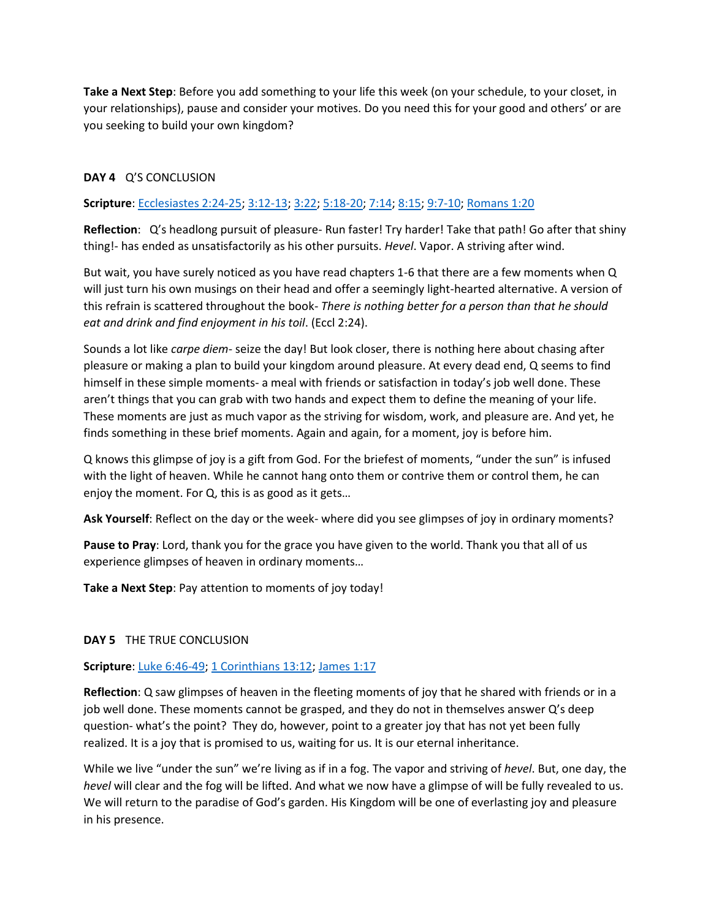**Take a Next Step**: Before you add something to your life this week (on your schedule, to your closet, in your relationships), pause and consider your motives. Do you need this for your good and others' or are you seeking to build your own kingdom?

## **DAY 4** Q'S CONCLUSION

## **Scripture**: [Ecclesiastes 2:24-25;](https://biblehub.com/esv/ecclesiastes/2.htm) [3:12-13;](https://biblehub.com/esv/ecclesiastes/3.htm) [3:22;](https://biblehub.com/ecclesiastes/3-22.htm) [5:18-20;](https://biblehub.com/esv/ecclesiastes/5.htm) [7:14;](https://biblehub.com/ecclesiastes/7-14.htm) [8:15;](https://biblehub.com/ecclesiastes/8-15.htm) [9:7-10;](https://biblehub.com/esv/ecclesiastes/9.htm) [Romans 1:20](https://biblehub.com/romans/1-20.htm)

**Reflection**: Q's headlong pursuit of pleasure- Run faster! Try harder! Take that path! Go after that shiny thing!- has ended as unsatisfactorily as his other pursuits. *Hevel*. Vapor. A striving after wind.

But wait, you have surely noticed as you have read chapters 1-6 that there are a few moments when Q will just turn his own musings on their head and offer a seemingly light-hearted alternative. A version of this refrain is scattered throughout the book- *There is nothing better for a person than that he should eat and drink and find enjoyment in his toil*. (Eccl 2:24).

Sounds a lot like *carpe diem*- seize the day! But look closer, there is nothing here about chasing after pleasure or making a plan to build your kingdom around pleasure. At every dead end, Q seems to find himself in these simple moments- a meal with friends or satisfaction in today's job well done. These aren't things that you can grab with two hands and expect them to define the meaning of your life. These moments are just as much vapor as the striving for wisdom, work, and pleasure are. And yet, he finds something in these brief moments. Again and again, for a moment, joy is before him.

Q knows this glimpse of joy is a gift from God. For the briefest of moments, "under the sun" is infused with the light of heaven. While he cannot hang onto them or contrive them or control them, he can enjoy the moment. For Q, this is as good as it gets…

**Ask Yourself**: Reflect on the day or the week- where did you see glimpses of joy in ordinary moments?

**Pause to Pray**: Lord, thank you for the grace you have given to the world. Thank you that all of us experience glimpses of heaven in ordinary moments…

**Take a Next Step**: Pay attention to moments of joy today!

### **DAY 5** THE TRUE CONCLUSION

### **Scripture**: [Luke 6:46-49;](https://biblehub.com/esv/luke/6.htm) [1 Corinthians 13:12;](https://biblehub.com/1_corinthians/13-12.htm) [James 1:17](https://biblehub.com/james/1-17.htm)

**Reflection**: Q saw glimpses of heaven in the fleeting moments of joy that he shared with friends or in a job well done. These moments cannot be grasped, and they do not in themselves answer Q's deep question- what's the point? They do, however, point to a greater joy that has not yet been fully realized. It is a joy that is promised to us, waiting for us. It is our eternal inheritance.

While we live "under the sun" we're living as if in a fog. The vapor and striving of *hevel*. But, one day, the *hevel* will clear and the fog will be lifted. And what we now have a glimpse of will be fully revealed to us. We will return to the paradise of God's garden. His Kingdom will be one of everlasting joy and pleasure in his presence.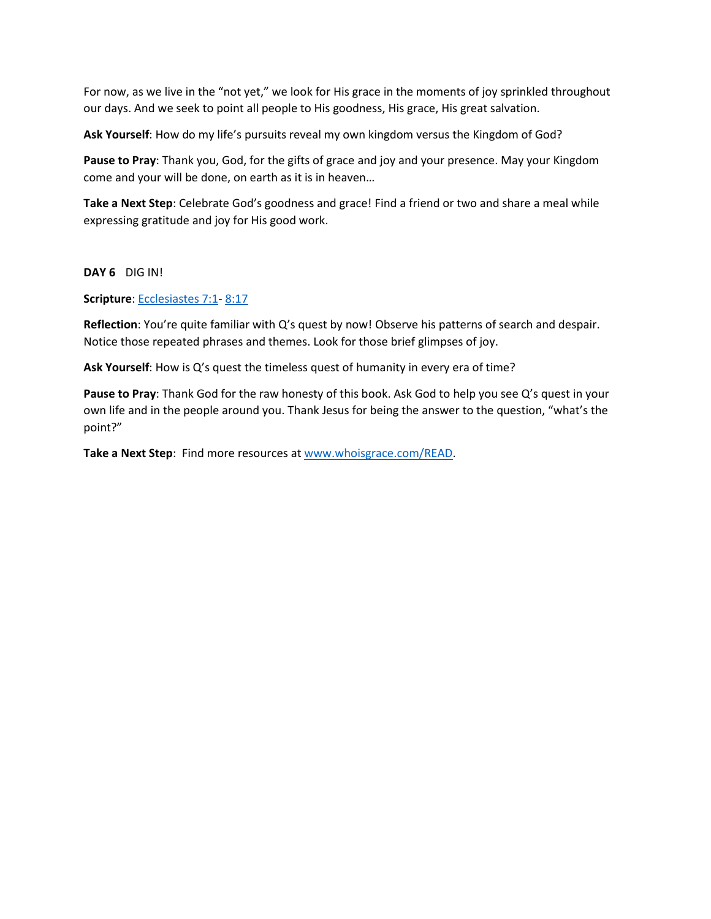For now, as we live in the "not yet," we look for His grace in the moments of joy sprinkled throughout our days. And we seek to point all people to His goodness, His grace, His great salvation.

**Ask Yourself**: How do my life's pursuits reveal my own kingdom versus the Kingdom of God?

**Pause to Pray**: Thank you, God, for the gifts of grace and joy and your presence. May your Kingdom come and your will be done, on earth as it is in heaven…

**Take a Next Step**: Celebrate God's goodness and grace! Find a friend or two and share a meal while expressing gratitude and joy for His good work.

**DAY 6** DIG IN!

**Scripture**: [Ecclesiastes 7:1-](https://biblehub.com/esv/ecclesiastes/7.htm) [8:17](https://biblehub.com/esv/ecclesiastes/8.htm)

**Reflection**: You're quite familiar with Q's quest by now! Observe his patterns of search and despair. Notice those repeated phrases and themes. Look for those brief glimpses of joy.

**Ask Yourself**: How is Q's quest the timeless quest of humanity in every era of time?

**Pause to Pray**: Thank God for the raw honesty of this book. Ask God to help you see Q's quest in your own life and in the people around you. Thank Jesus for being the answer to the question, "what's the point?"

**Take a Next Step**: Find more resources at [www.whoisgrace.com/READ.](http://www.whoisgrace.com/READ)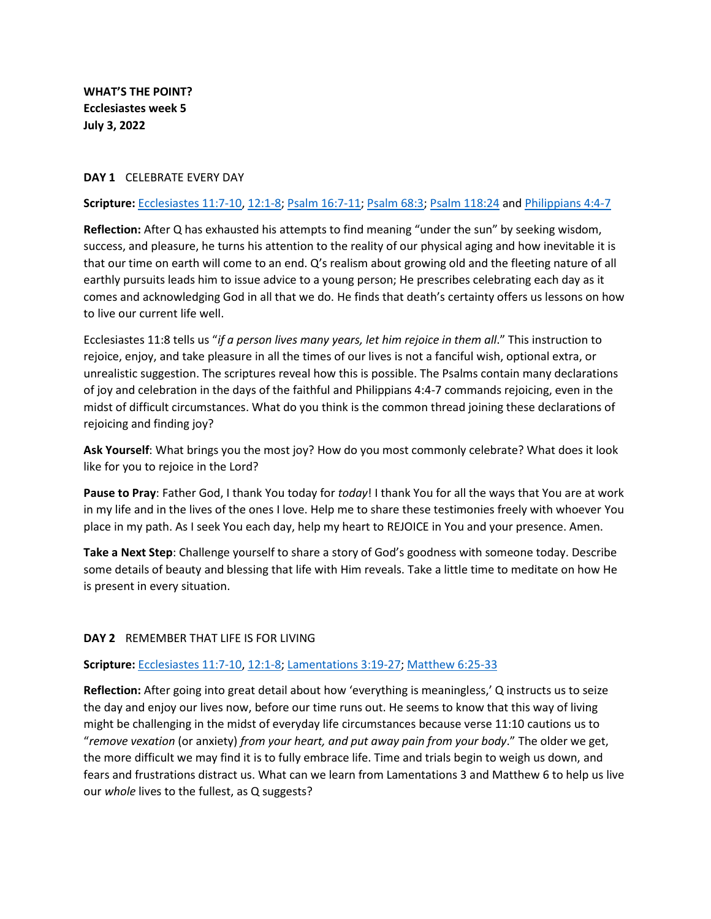**WHAT'S THE POINT? Ecclesiastes week 5 July 3, 2022**

#### **DAY 1** CELEBRATE EVERY DAY

#### **Scripture:** [Ecclesiastes 11:7-10,](https://biblehub.com/esv/ecclesiastes/11.htm#:~:text=7Light%20is,life%20are%20vanity.) [12:1-8;](https://biblehub.com/esv/ecclesiastes/12.htm#:~:text=Remember%20Your%20Creator,all%20is%20vanity.) [Psalm 16:7-11;](https://biblehub.com/esv/psalms/16.htm#:~:text=7I%20bless,are%20pleasures%20forevermore.) [Psalm 68:3;](https://biblehub.com/esv/psalms/68.htm#:~:text=But%20the%20righteous%20shall%20be%20glad%3B%0Athey%20shall%20exult%20before%20God%3B%0Athey%20shall%20be%20jubilant%20with%20joy!) [Psalm 118:24](https://biblehub.com/esv/psalms/118.htm#:~:text=24This%20is%20the%20day%20that%20the%20LORD%20has%20made%3B%0Alet%20us%20rejoice%20and%20be%20glad%20in%20it.) and [Philippians 4:4-7](https://biblehub.com/esv/philippians/4.htm#:~:text=4Rejoice%20in,in%20Christ%20Jesus.)

**Reflection:** After Q has exhausted his attempts to find meaning "under the sun" by seeking wisdom, success, and pleasure, he turns his attention to the reality of our physical aging and how inevitable it is that our time on earth will come to an end. Q's realism about growing old and the fleeting nature of all earthly pursuits leads him to issue advice to a young person; He prescribes celebrating each day as it comes and acknowledging God in all that we do. He finds that death's certainty offers us lessons on how to live our current life well.

Ecclesiastes 11:8 tells us "*if a person lives many years, let him rejoice in them all*." This instruction to rejoice, enjoy, and take pleasure in all the times of our lives is not a fanciful wish, optional extra, or unrealistic suggestion. The scriptures reveal how this is possible. The Psalms contain many declarations of joy and celebration in the days of the faithful and Philippians 4:4-7 commands rejoicing, even in the midst of difficult circumstances. What do you think is the common thread joining these declarations of rejoicing and finding joy?

**Ask Yourself**: What brings you the most joy? How do you most commonly celebrate? What does it look like for you to rejoice in the Lord?

**Pause to Pray**: Father God, I thank You today for *today*! I thank You for all the ways that You are at work in my life and in the lives of the ones I love. Help me to share these testimonies freely with whoever You place in my path. As I seek You each day, help my heart to REJOICE in You and your presence. Amen.

**Take a Next Step**: Challenge yourself to share a story of God's goodness with someone today. Describe some details of beauty and blessing that life with Him reveals. Take a little time to meditate on how He is present in every situation.

### **DAY 2** REMEMBER THAT LIFE IS FOR LIVING

#### **Scripture:** [Ecclesiastes 11:7-10,](https://biblehub.com/esv/ecclesiastes/11.htm#:~:text=7Light%20is,life%20are%20vanity.) [12:1-8;](https://biblehub.com/esv/ecclesiastes/12.htm#:~:text=Remember%20Your%20Creator,all%20is%20vanity.) [Lamentations](https://biblehub.com/esv/lamentations/3.htm#:~:text=19Remember%20my,in%20his%20youth.) 3:19-27[; Matthew 6:25-33](https://biblehub.com/esv/matthew/6.htm#:~:text=25%E2%80%9CTherefore%20I,added%20to%20you.)

**Reflection:** After going into great detail about how 'everything is meaningless,' Q instructs us to seize the day and enjoy our lives now, before our time runs out. He seems to know that this way of living might be challenging in the midst of everyday life circumstances because verse 11:10 cautions us to "*remove vexation* (or anxiety) *from your heart, and put away pain from your body*." The older we get, the more difficult we may find it is to fully embrace life. Time and trials begin to weigh us down, and fears and frustrations distract us. What can we learn from Lamentations 3 and Matthew 6 to help us live our *whole* lives to the fullest, as Q suggests?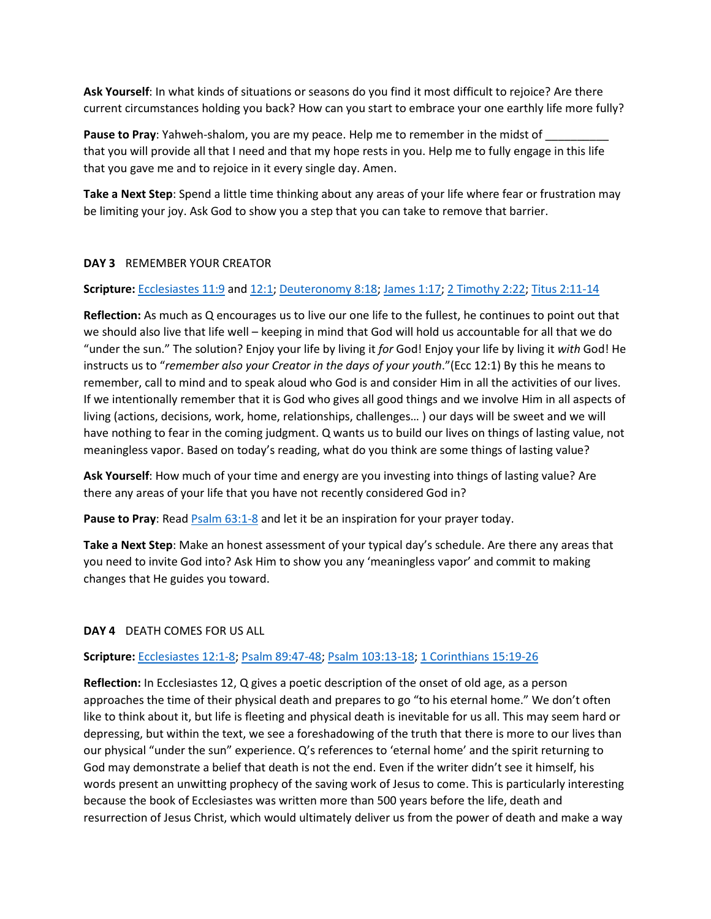**Ask Yourself**: In what kinds of situations or seasons do you find it most difficult to rejoice? Are there current circumstances holding you back? How can you start to embrace your one earthly life more fully?

Pause to Pray: Yahweh-shalom, you are my peace. Help me to remember in the midst of that you will provide all that I need and that my hope rests in you. Help me to fully engage in this life that you gave me and to rejoice in it every single day. Amen.

**Take a Next Step**: Spend a little time thinking about any areas of your life where fear or frustration may be limiting your joy. Ask God to show you a step that you can take to remove that barrier.

### **DAY 3** REMEMBER YOUR CREATOR

## **Scripture:** [Ecclesiastes 11:9](https://biblehub.com/esv/ecclesiastes/11.htm#:~:text=9Rejoice%2C%20O%20young%20man%2C%20in%20your%20youth%2C%20and%20let%20your%20heart%20cheer%20you%20in%20the%20days%20of%20your%20youth.%20Walk%20in%20the%20ways%20of%20your%20heart%20and%20the%20sight%20) and [12:1;](https://biblehub.com/esv/ecclesiastes/12.htm#:~:text=1Remember%20also%20your%20Creator%20in%20the%20days%20of%20your%20youth%2C%20before%20the%20evil%20days%20come%20and%20the%20years%20draw%20near%20of%20which%20you%20will%20say%2C%20%E2%80%9CI%20have%20n) [Deuteronomy 8:18;](https://biblehub.com/esv/deuteronomy/8.htm#:~:text=18You%20shall%20remember%20the%20LORD%20your%20God%2C%20for%20it%20is%20he%20who%20gives%20you%20power%20to%20get%20wealth%2C%20that%20he%20may%20confirm%20his%20covenant%20that%20he%20swore%20to%20your%20) [James 1:17;](https://biblehub.com/esv/james/1.htm#:~:text=17Every%20good%20gift%20and%20every%20perfect%20gift%20is%20from%20above%2C%20coming%20down%20from%20the%20Father%20of%20lights%2C%20with%20whom%20there%20is%20no%20variation%20or%20shadow%20due%20to%20change.d) 2 [Timothy 2:22;](https://biblehub.com/esv/2_timothy/2.htm#:~:text=22So%20flee%20youthful%20passions%20and%20pursue%20righteousness%2C%20faith%2C%20love%2C%20and%20peace%2C%20along%20with%20those%20who%20call%20on%20the%20Lord%20from%20a%20pure%20heart.) [Titus 2:11-14](https://biblehub.com/esv/titus/2.htm#:~:text=11For%20the,for%20good%20works.)

**Reflection:** As much as Q encourages us to live our one life to the fullest, he continues to point out that we should also live that life well – keeping in mind that God will hold us accountable for all that we do "under the sun." The solution? Enjoy your life by living it *for* God! Enjoy your life by living it *with* God! He instructs us to "*remember also your Creator in the days of your youth*."(Ecc 12:1) By this he means to remember, call to mind and to speak aloud who God is and consider Him in all the activities of our lives. If we intentionally remember that it is God who gives all good things and we involve Him in all aspects of living (actions, decisions, work, home, relationships, challenges… ) our days will be sweet and we will have nothing to fear in the coming judgment. Q wants us to build our lives on things of lasting value, not meaningless vapor. Based on today's reading, what do you think are some things of lasting value?

**Ask Yourself**: How much of your time and energy are you investing into things of lasting value? Are there any areas of your life that you have not recently considered God in?

Pause to Pray: Read **Psalm 63:1-8** and let it be an inspiration for your prayer today.

**Take a Next Step**: Make an honest assessment of your typical day's schedule. Are there any areas that you need to invite God into? Ask Him to show you any 'meaningless vapor' and commit to making changes that He guides you toward.

# **DAY 4** DEATH COMES FOR US ALL

# **Scripture:** [Ecclesiastes 12:1-8;](https://biblehub.com/esv/ecclesiastes/12.htm#:~:text=1Remember%20also,all%20is%20vanity.) [Psalm 89:47-48;](https://biblehub.com/esv/psalms/89.htm#:~:text=47Remember%20how%20short%20my%20time%20is!%0AFor%20what%20vanity%20you%20have%20created%20all%20the%20children%20of%20man!%0A48What%20man%20can%20live%20and%20never%20see%20death%3F%0AWho%20can%20deliver%20his) [Psalm 103:13-18;](https://biblehub.com/esv/psalms/103.htm#:~:text=13As%20a,do%20his%20commandments.) [1 Corinthians 15:19-26](https://biblehub.com/esv/1_corinthians/15.htm#:~:text=19If%20in,destroyed%20is%20death.)

**Reflection:** In Ecclesiastes 12, Q gives a poetic description of the onset of old age, as a person approaches the time of their physical death and prepares to go "to his eternal home." We don't often like to think about it, but life is fleeting and physical death is inevitable for us all. This may seem hard or depressing, but within the text, we see a foreshadowing of the truth that there is more to our lives than our physical "under the sun" experience. Q's references to 'eternal home' and the spirit returning to God may demonstrate a belief that death is not the end. Even if the writer didn't see it himself, his words present an unwitting prophecy of the saving work of Jesus to come. This is particularly interesting because the book of Ecclesiastes was written more than 500 years before the life, death and resurrection of Jesus Christ, which would ultimately deliver us from the power of death and make a way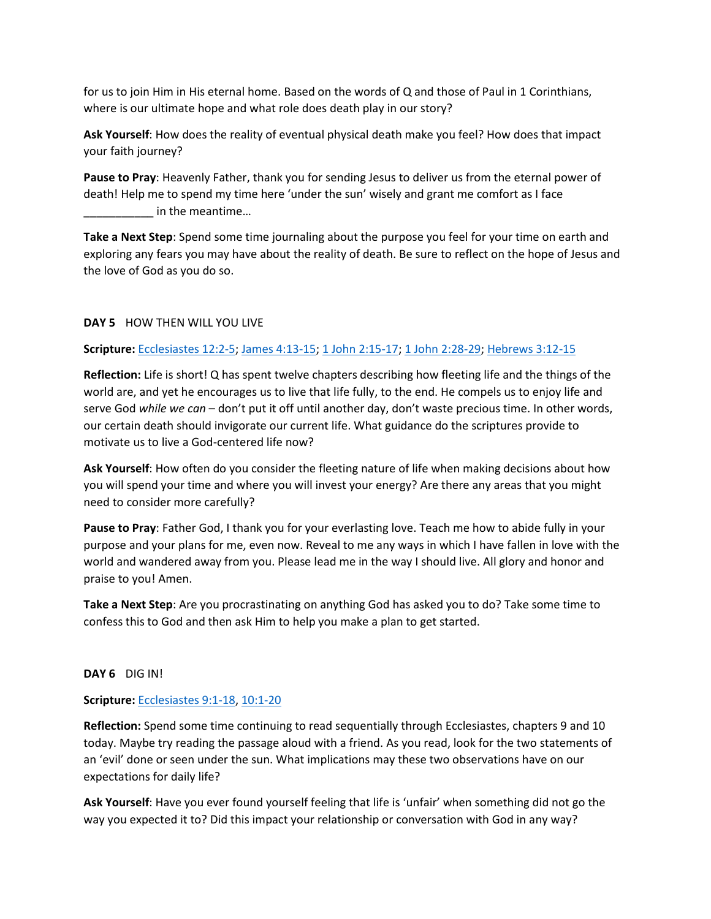for us to join Him in His eternal home. Based on the words of Q and those of Paul in 1 Corinthians, where is our ultimate hope and what role does death play in our story?

**Ask Yourself**: How does the reality of eventual physical death make you feel? How does that impact your faith journey?

**Pause to Pray**: Heavenly Father, thank you for sending Jesus to deliver us from the eternal power of death! Help me to spend my time here 'under the sun' wisely and grant me comfort as I face \_\_\_\_\_\_\_\_\_\_\_ in the meantime…

**Take a Next Step**: Spend some time journaling about the purpose you feel for your time on earth and exploring any fears you may have about the reality of death. Be sure to reflect on the hope of Jesus and the love of God as you do so.

## **DAY 5** HOW THEN WILL YOU LIVE

## **Scripture:** [Ecclesiastes 12:2-5;](https://biblehub.com/esv/ecclesiastes/12.htm#:~:text=2before%20the,about%20the%20streets%E2%80%94) [James 4:13-15;](https://biblehub.com/esv/james/4.htm#:~:text=13Come%20now,this%20or%20that.%E2%80%9D) [1 John 2:15-17;](https://biblehub.com/esv/1_john/2.htm#:~:text=15Do%20not,God%20abides%20forever.) [1 John 2:28-29;](https://biblehub.com/esv/1_john/2.htm#:~:text=28And%20now%2C%20little%20children%2C%20abide%20in%20him%2C%20so%20that%20when%20he%20appears%20we%20may%20have%20confidence%20and%20not%20shrink%20from%20him%20in%20shame%20at%20his%20coming.%2029If%20you%20kn) [Hebrews 3:12-15](https://biblehub.com/esv/hebrews/3.htm#:~:text=12Take%20care,in%20the%20rebellion.%E2%80%9D)

**Reflection:** Life is short! Q has spent twelve chapters describing how fleeting life and the things of the world are, and yet he encourages us to live that life fully, to the end. He compels us to enjoy life and serve God *while we can* – don't put it off until another day, don't waste precious time. In other words, our certain death should invigorate our current life. What guidance do the scriptures provide to motivate us to live a God-centered life now?

**Ask Yourself**: How often do you consider the fleeting nature of life when making decisions about how you will spend your time and where you will invest your energy? Are there any areas that you might need to consider more carefully?

**Pause to Pray**: Father God, I thank you for your everlasting love. Teach me how to abide fully in your purpose and your plans for me, even now. Reveal to me any ways in which I have fallen in love with the world and wandered away from you. Please lead me in the way I should live. All glory and honor and praise to you! Amen.

**Take a Next Step**: Are you procrastinating on anything God has asked you to do? Take some time to confess this to God and then ask Him to help you make a plan to get started.

### **DAY 6** DIG IN!

### **Scripture:** [Ecclesiastes 9:1-18,](https://biblehub.com/esv/ecclesiastes/9.htm#:~:text=Death%20Comes%20to,destroys%20much%20good.) [10:1-20](https://biblehub.com/esv/ecclesiastes/10.htm#:~:text=1Dead%20flies,tell%20the%20matter.)

**Reflection:** Spend some time continuing to read sequentially through Ecclesiastes, chapters 9 and 10 today. Maybe try reading the passage aloud with a friend. As you read, look for the two statements of an 'evil' done or seen under the sun. What implications may these two observations have on our expectations for daily life?

**Ask Yourself**: Have you ever found yourself feeling that life is 'unfair' when something did not go the way you expected it to? Did this impact your relationship or conversation with God in any way?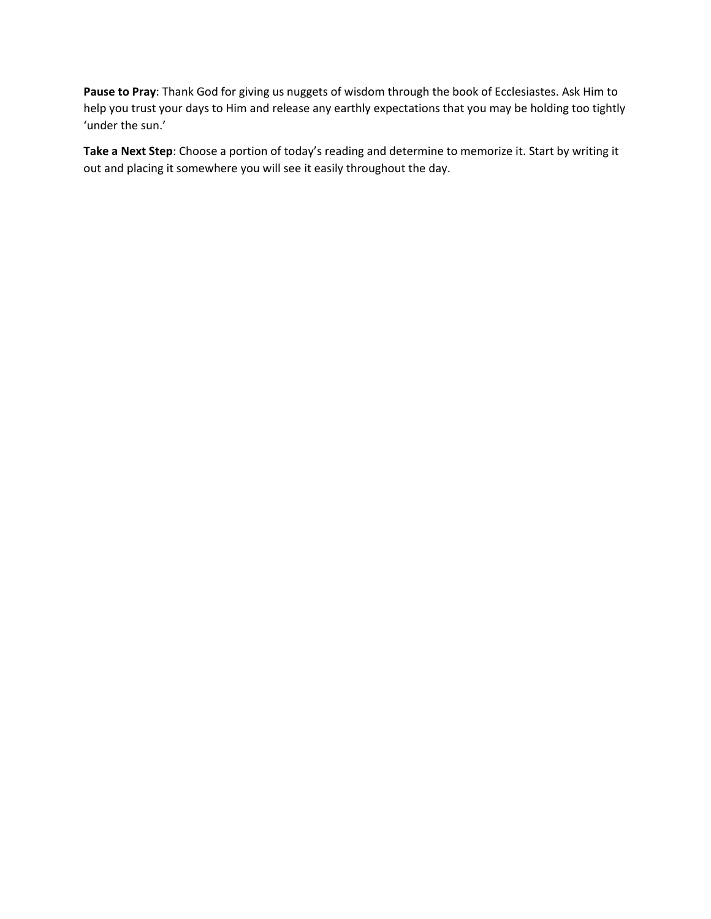**Pause to Pray**: Thank God for giving us nuggets of wisdom through the book of Ecclesiastes. Ask Him to help you trust your days to Him and release any earthly expectations that you may be holding too tightly 'under the sun.'

**Take a Next Step**: Choose a portion of today's reading and determine to memorize it. Start by writing it out and placing it somewhere you will see it easily throughout the day.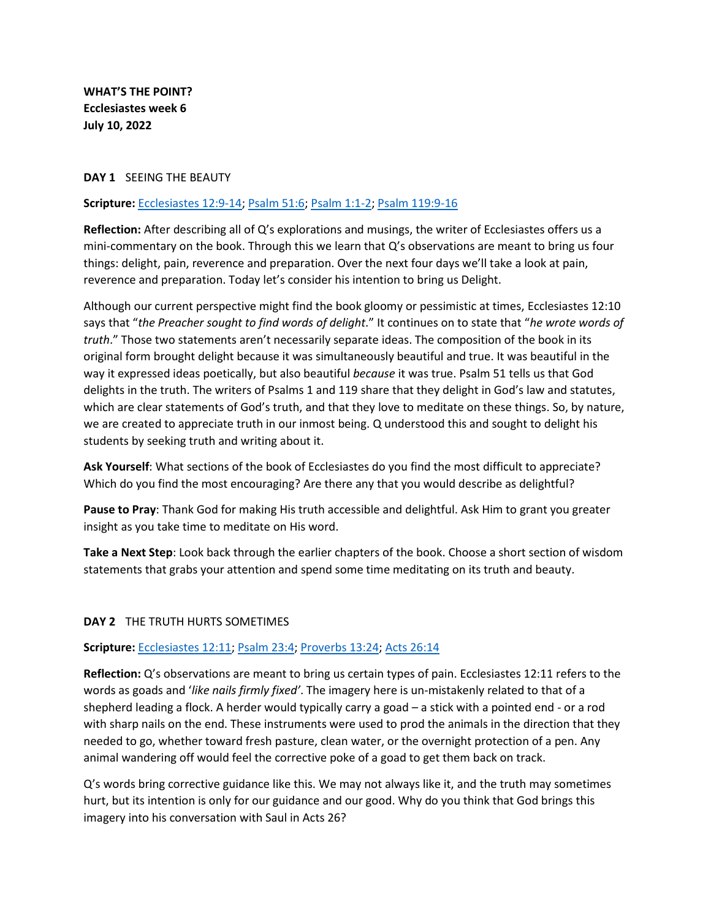**WHAT'S THE POINT? Ecclesiastes week 6 July 10, 2022**

#### **DAY 1** SEEING THE BEAUTY

### **Scripture:** [Ecclesiastes 12:9-14;](https://biblehub.com/esv/ecclesiastes/12.htm#:~:text=9Besides%20being,good%20or%20evil.) [Psalm 51:6;](https://biblehub.com/esv/psalms/51.htm#:~:text=6Behold%2C%20you%20delight%20in%20truth%20in%20the%20inward%20being%2C%0Aand%20you%20teach%20me%20wisdom%20in%20the%20secret%20heart.) [Psalm 1:1-2;](https://biblehub.com/esv/psalms/1.htm#:~:text=1Blessed%20is%20the%20mana%0Awho%20walks%20not%20in%20the%20counsel%20of%20the%20wicked%2C%0Anor%20stands%20in%20the%20way%20of%20sinners%2C%0Anor%20sits%20in%20the%20seat%20of%20scoffers%3B%0A2but%20his%20deli) [Psalm 119:9-16](https://biblehub.com/esv/psalms/119.htm#:~:text=9How%20can,forget%20your%20word.)

**Reflection:** After describing all of Q's explorations and musings, the writer of Ecclesiastes offers us a mini-commentary on the book. Through this we learn that Q's observations are meant to bring us four things: delight, pain, reverence and preparation. Over the next four days we'll take a look at pain, reverence and preparation. Today let's consider his intention to bring us Delight.

Although our current perspective might find the book gloomy or pessimistic at times, Ecclesiastes 12:10 says that "*the Preacher sought to find words of delight*." It continues on to state that "*he wrote words of truth*." Those two statements aren't necessarily separate ideas. The composition of the book in its original form brought delight because it was simultaneously beautiful and true. It was beautiful in the way it expressed ideas poetically, but also beautiful *because* it was true. Psalm 51 tells us that God delights in the truth. The writers of Psalms 1 and 119 share that they delight in God's law and statutes, which are clear statements of God's truth, and that they love to meditate on these things. So, by nature, we are created to appreciate truth in our inmost being. Q understood this and sought to delight his students by seeking truth and writing about it.

**Ask Yourself**: What sections of the book of Ecclesiastes do you find the most difficult to appreciate? Which do you find the most encouraging? Are there any that you would describe as delightful?

**Pause to Pray**: Thank God for making His truth accessible and delightful. Ask Him to grant you greater insight as you take time to meditate on His word.

**Take a Next Step**: Look back through the earlier chapters of the book. Choose a short section of wisdom statements that grabs your attention and spend some time meditating on its truth and beauty.

### **DAY 2** THE TRUTH HURTS SOMETIMES

#### **Scripture:** [Ecclesiastes 12:11;](https://biblehub.com/esv/ecclesiastes/12.htm#:~:text=11The%20words%20of%20the%20wise%20are%20like%20goads%2C%20and%20like%20nails%20firmly%20fixed%20are%20the%20collected%20sayings%3B%20they%20are%20given%20by%20one%20Shepherd.) [Psalm](https://biblehub.com/esv/psalms/23.htm#:~:text=4Even%20though%20I%20walk%20through%20the%20valley%20of%20the%20shadow%20of%20death%2Cc%0AI%20will%20fear%20no%20evil%2C%0Afor%20you%20are%20with%20me%3B%0Ayour%20rod%20and%20your%20staff%2C%0Athey%20comfort%2) 23:4; [Proverbs 13:24;](https://biblehub.com/esv/proverbs/13.htm#:~:text=24Whoever%20spares%20the%20rod%20hates%20his%20son%2C%0Abut%20he%20who%20loves%20him%20is%20diligent%20to%20discipline%20him.i) [Acts 26:14](https://biblehub.com/esv/acts/26.htm#:~:text=14And%20when%20we%20had%20all%20fallen%20to%20the%20ground%2C%20I%20heard%20a%20voice%20saying%20to%20me%20in%20the%20Hebrew%20language%2Ca%20%E2%80%98Saul%2C%20Saul%2C%20why%20are%20you%20persecuting%20me%3F%20)

**Reflection:** Q's observations are meant to bring us certain types of pain. Ecclesiastes 12:11 refers to the words as goads and '*like nails firmly fixed'*. The imagery here is un-mistakenly related to that of a shepherd leading a flock. A herder would typically carry a goad – a stick with a pointed end - or a rod with sharp nails on the end. These instruments were used to prod the animals in the direction that they needed to go, whether toward fresh pasture, clean water, or the overnight protection of a pen. Any animal wandering off would feel the corrective poke of a goad to get them back on track.

Q's words bring corrective guidance like this. We may not always like it, and the truth may sometimes hurt, but its intention is only for our guidance and our good. Why do you think that God brings this imagery into his conversation with Saul in Acts 26?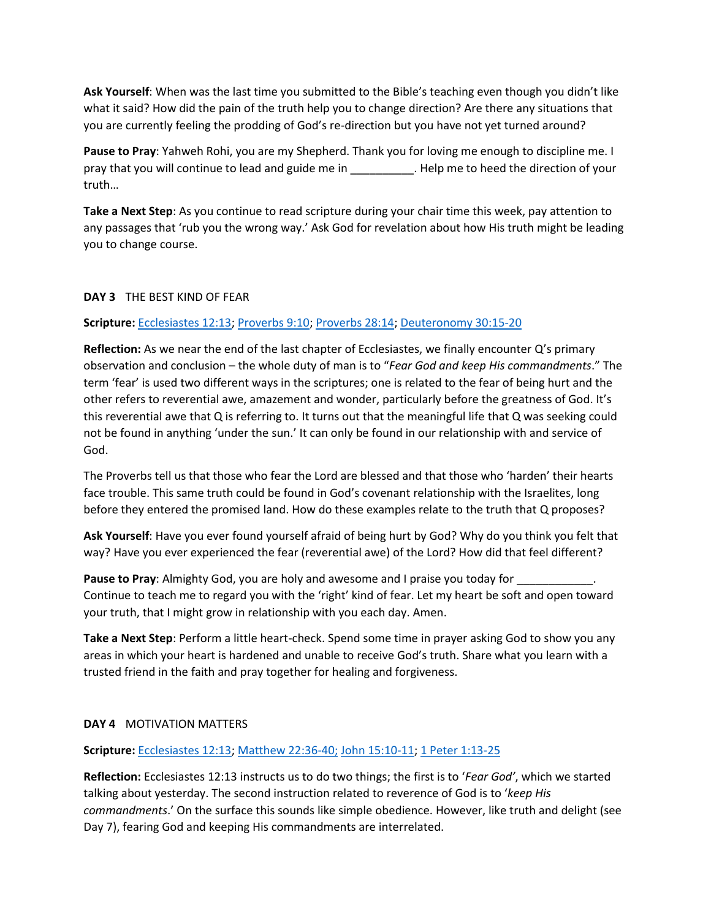**Ask Yourself**: When was the last time you submitted to the Bible's teaching even though you didn't like what it said? How did the pain of the truth help you to change direction? Are there any situations that you are currently feeling the prodding of God's re-direction but you have not yet turned around?

**Pause to Pray**: Yahweh Rohi, you are my Shepherd. Thank you for loving me enough to discipline me. I pray that you will continue to lead and guide me in \_\_\_\_\_\_\_\_\_\_. Help me to heed the direction of your truth…

**Take a Next Step**: As you continue to read scripture during your chair time this week, pay attention to any passages that 'rub you the wrong way.' Ask God for revelation about how His truth might be leading you to change course.

### **DAY 3** THE BEST KIND OF FEAR

## **Scripture:** Ecclesiastes 12:13; Proverbs 9:10; Proverbs 28:14; Deuteronomy 30:15-20

**Reflection:** As we near the end of the last chapter of Ecclesiastes, we finally encounter Q's primary observation and conclusion – the whole duty of man is to "*Fear God and keep His commandments*." The term 'fear' is used two different ways in the scriptures; one is related to the fear of being hurt and the other refers to reverential awe, amazement and wonder, particularly before the greatness of God. It's this reverential awe that Q is referring to. It turns out that the meaningful life that Q was seeking could not be found in anything 'under the sun.' It can only be found in our relationship with and service of God.

The Proverbs tell us that those who fear the Lord are blessed and that those who 'harden' their hearts face trouble. This same truth could be found in God's covenant relationship with the Israelites, long before they entered the promised land. How do these examples relate to the truth that Q proposes?

**Ask Yourself**: Have you ever found yourself afraid of being hurt by God? Why do you think you felt that way? Have you ever experienced the fear (reverential awe) of the Lord? How did that feel different?

**Pause to Pray**: Almighty God, you are holy and awesome and I praise you today for Continue to teach me to regard you with the 'right' kind of fear. Let my heart be soft and open toward your truth, that I might grow in relationship with you each day. Amen.

**Take a Next Step**: Perform a little heart-check. Spend some time in prayer asking God to show you any areas in which your heart is hardened and unable to receive God's truth. Share what you learn with a trusted friend in the faith and pray together for healing and forgiveness.

# **DAY 4** MOTIVATION MATTERS

# **Scripture:** Ecclesiastes 12:13; Matthew 22:36-40; John 15:10-11; 1 Peter 1:13-25

**Reflection:** Ecclesiastes 12:13 instructs us to do two things; the first is to '*Fear God'*, which we started talking about yesterday. The second instruction related to reverence of God is to '*keep His commandments*.' On the surface this sounds like simple obedience. However, like truth and delight (see Day 7), fearing God and keeping His commandments are interrelated.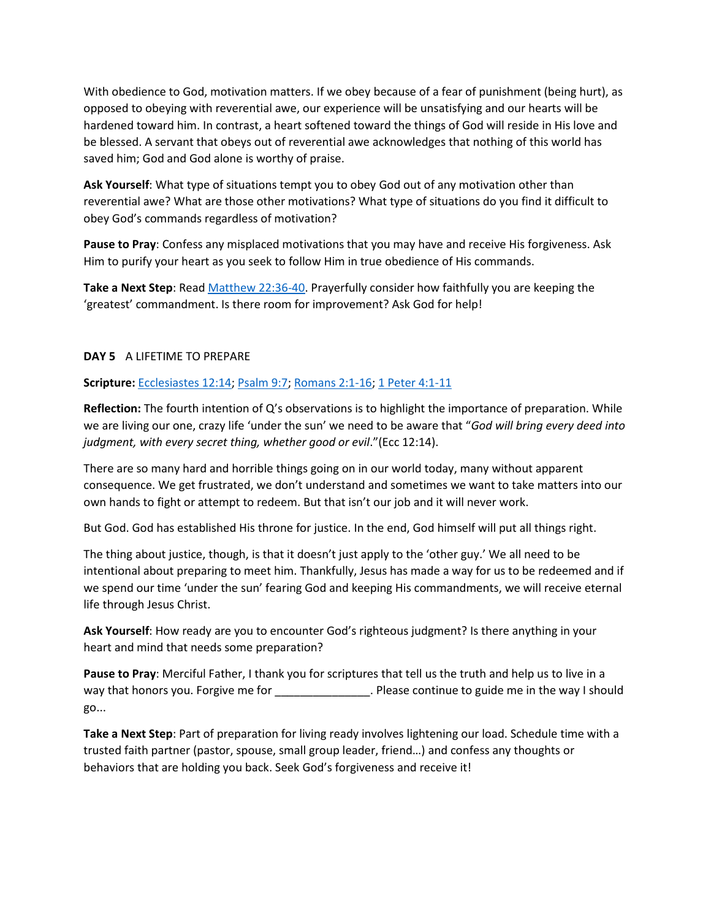With obedience to God, motivation matters. If we obey because of a fear of punishment (being hurt), as opposed to obeying with reverential awe, our experience will be unsatisfying and our hearts will be hardened toward him. In contrast, a heart softened toward the things of God will reside in His love and be blessed. A servant that obeys out of reverential awe acknowledges that nothing of this world has saved him; God and God alone is worthy of praise.

**Ask Yourself**: What type of situations tempt you to obey God out of any motivation other than reverential awe? What are those other motivations? What type of situations do you find it difficult to obey God's commands regardless of motivation?

**Pause to Pray**: Confess any misplaced motivations that you may have and receive His forgiveness. Ask Him to purify your heart as you seek to follow Him in true obedience of His commands.

**Take a Next Step**: Read Matthew 22:36-40. Prayerfully consider how faithfully you are keeping the 'greatest' commandment. Is there room for improvement? Ask God for help!

## **DAY 5** A LIFETIME TO PREPARE

**Scripture:** Ecclesiastes 12:14; Psalm 9:7; Romans 2:1-16; 1 Peter 4:1-11

**Reflection:** The fourth intention of Q's observations is to highlight the importance of preparation. While we are living our one, crazy life 'under the sun' we need to be aware that "*God will bring every deed into judgment, with every secret thing, whether good or evil*."(Ecc 12:14).

There are so many hard and horrible things going on in our world today, many without apparent consequence. We get frustrated, we don't understand and sometimes we want to take matters into our own hands to fight or attempt to redeem. But that isn't our job and it will never work.

But God. God has established His throne for justice. In the end, God himself will put all things right.

The thing about justice, though, is that it doesn't just apply to the 'other guy.' We all need to be intentional about preparing to meet him. Thankfully, Jesus has made a way for us to be redeemed and if we spend our time 'under the sun' fearing God and keeping His commandments, we will receive eternal life through Jesus Christ.

**Ask Yourself**: How ready are you to encounter God's righteous judgment? Is there anything in your heart and mind that needs some preparation?

**Pause to Pray**: Merciful Father, I thank you for scriptures that tell us the truth and help us to live in a way that honors you. Forgive me for The Mass Please continue to guide me in the way I should go...

**Take a Next Step**: Part of preparation for living ready involves lightening our load. Schedule time with a trusted faith partner (pastor, spouse, small group leader, friend…) and confess any thoughts or behaviors that are holding you back. Seek God's forgiveness and receive it!